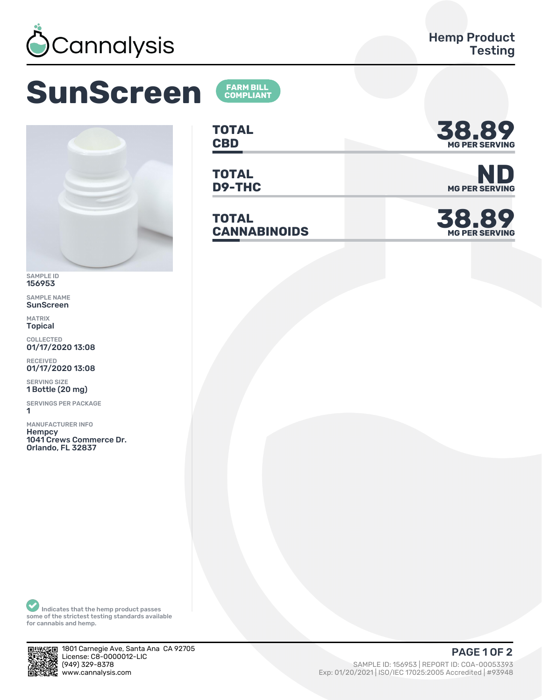

## **SunScreen**



SAMPLE ID 156953

SAMPLE NAME **SunScreen** 

**MATRIX Topical** 

COLLECTED<br>01/17/2020 13:08

**RECEIVED** 01/17/2020 13:08

**SERVING SIZE** 1 Bottle (20 mg)

**SERVINGS PER PACKAGE** 1

**MANUFACTURER INFO** Hempcy 1041 Crews Commerce Dr. Orlando, FL 32837

**FARM BILL<br>COMPLIANT** 



**TOTAL** D9-THC

**TOTAL CANNABINOIDS** 



**MG PER SERVING** 

38.89 **MG PER SERVING** 

Indicates that the hemp product passes<br>some of the strictest testing standards available for cannabis and hemp.



1801 Carnegie Ave, Santa Ana CA 92705 License: C8-0000012-LIC (949) 329-8378 www.cannalysis.com